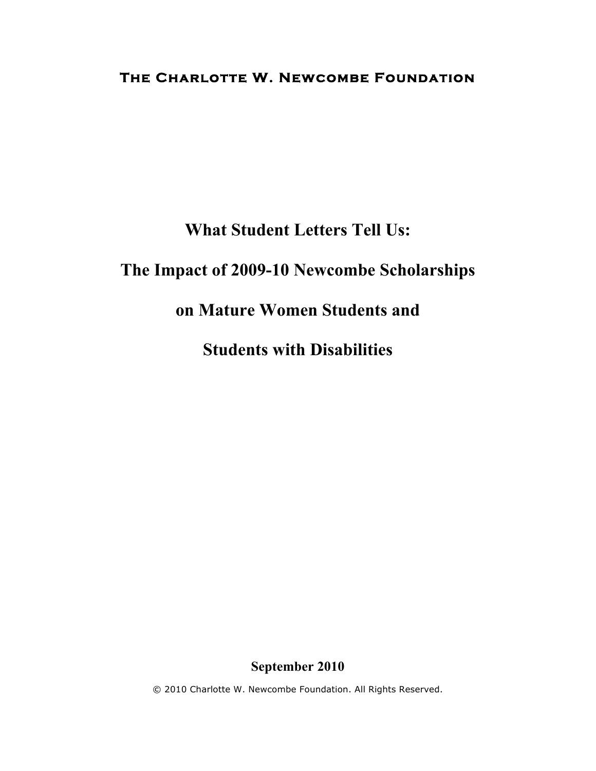## **The Charlotte W. Newcombe Foundation**

# **What Student Letters Tell Us:**

# **The Impact of 2009-10 Newcombe Scholarships**

# **on Mature Women Students and**

**Students with Disabilities**

### **September 2010**

© 2010 Charlotte W. Newcombe Foundation. All Rights Reserved.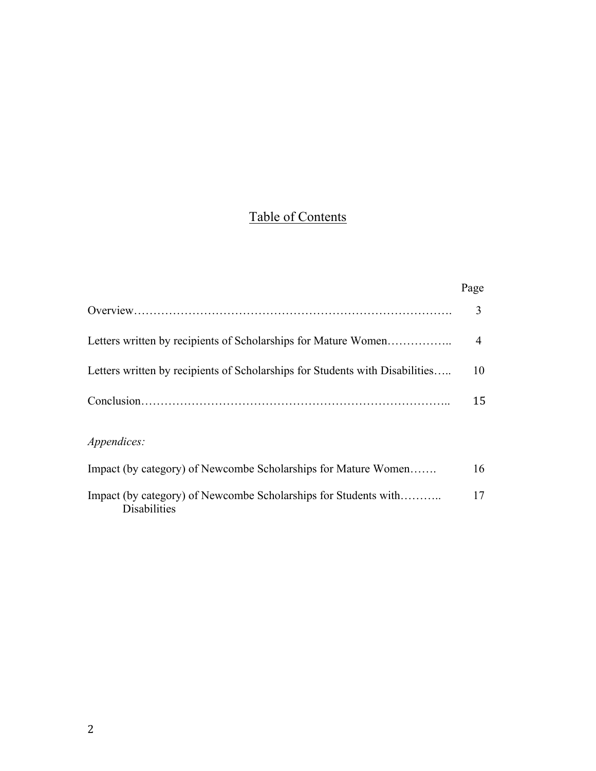# Table of Contents

|                                                                                        | Page |
|----------------------------------------------------------------------------------------|------|
|                                                                                        | 3    |
| Letters written by recipients of Scholarships for Mature Women                         | 4    |
| Letters written by recipients of Scholarships for Students with Disabilities           | 10   |
|                                                                                        | 15   |
| <i>Appendices:</i>                                                                     |      |
| Impact (by category) of Newcombe Scholarships for Mature Women                         | 16   |
| Impact (by category) of Newcombe Scholarships for Students with<br><b>Disabilities</b> | 17   |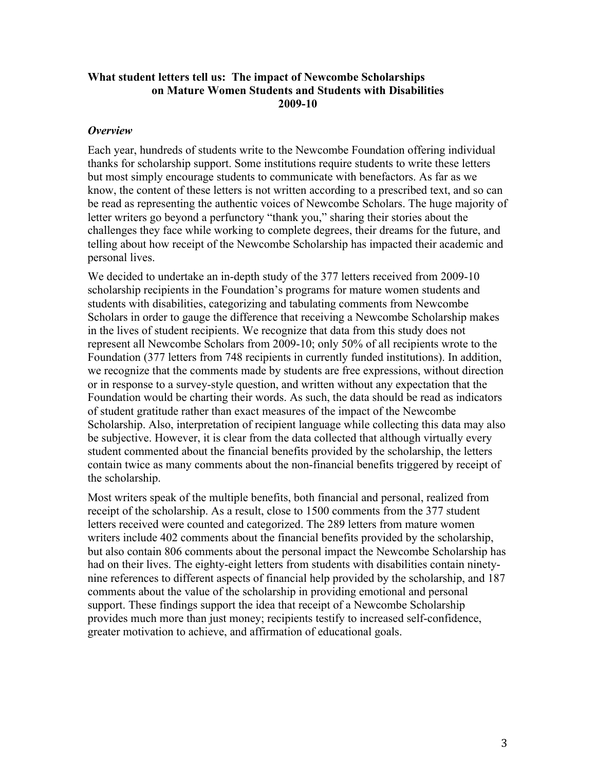### **What student letters tell us: The impact of Newcombe Scholarships on Mature Women Students and Students with Disabilities 2009-10**

#### *Overview*

Each year, hundreds of students write to the Newcombe Foundation offering individual thanks for scholarship support. Some institutions require students to write these letters but most simply encourage students to communicate with benefactors. As far as we know, the content of these letters is not written according to a prescribed text, and so can be read as representing the authentic voices of Newcombe Scholars. The huge majority of letter writers go beyond a perfunctory "thank you," sharing their stories about the challenges they face while working to complete degrees, their dreams for the future, and telling about how receipt of the Newcombe Scholarship has impacted their academic and personal lives.

We decided to undertake an in-depth study of the 377 letters received from 2009-10 scholarship recipients in the Foundation's programs for mature women students and students with disabilities, categorizing and tabulating comments from Newcombe Scholars in order to gauge the difference that receiving a Newcombe Scholarship makes in the lives of student recipients. We recognize that data from this study does not represent all Newcombe Scholars from 2009-10; only 50% of all recipients wrote to the Foundation (377 letters from 748 recipients in currently funded institutions). In addition, we recognize that the comments made by students are free expressions, without direction or in response to a survey-style question, and written without any expectation that the Foundation would be charting their words. As such, the data should be read as indicators of student gratitude rather than exact measures of the impact of the Newcombe Scholarship. Also, interpretation of recipient language while collecting this data may also be subjective. However, it is clear from the data collected that although virtually every student commented about the financial benefits provided by the scholarship, the letters contain twice as many comments about the non-financial benefits triggered by receipt of the scholarship.

Most writers speak of the multiple benefits, both financial and personal, realized from receipt of the scholarship. As a result, close to 1500 comments from the 377 student letters received were counted and categorized. The 289 letters from mature women writers include 402 comments about the financial benefits provided by the scholarship, but also contain 806 comments about the personal impact the Newcombe Scholarship has had on their lives. The eighty-eight letters from students with disabilities contain ninetynine references to different aspects of financial help provided by the scholarship, and 187 comments about the value of the scholarship in providing emotional and personal support. These findings support the idea that receipt of a Newcombe Scholarship provides much more than just money; recipients testify to increased self-confidence, greater motivation to achieve, and affirmation of educational goals.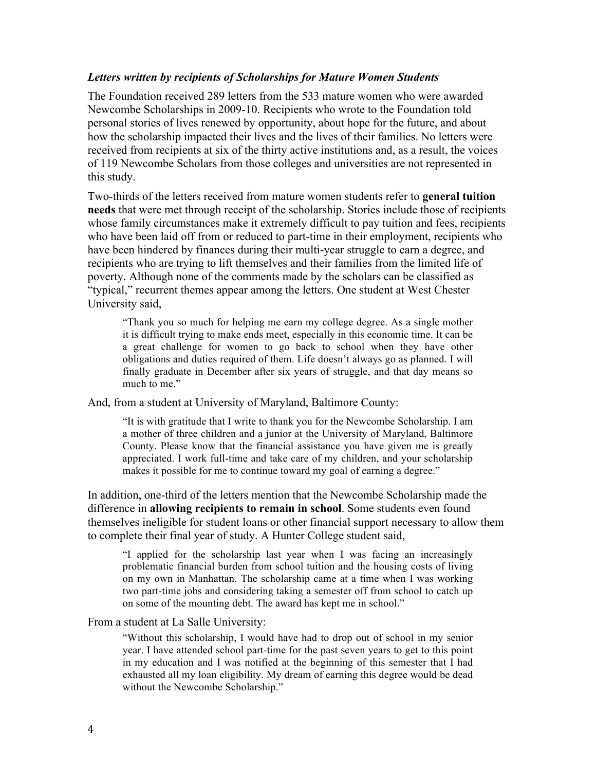#### *Letters written by recipients of Scholarships for Mature Women Students*

The Foundation received 289 letters from the 533 mature women who were awarded Newcombe Scholarships in 2009-10. Recipients who wrote to the Foundation told personal stories of lives renewed by opportunity, about hope for the future, and about how the scholarship impacted their lives and the lives of their families. No letters were received from recipients at six of the thirty active institutions and, as a result, the voices of 119 Newcombe Scholars from those colleges and universities are not represented in this study.

Two-thirds of the letters received from mature women students refer to **general tuition needs** that were met through receipt of the scholarship. Stories include those of recipients whose family circumstances make it extremely difficult to pay tuition and fees, recipients who have been laid off from or reduced to part-time in their employment, recipients who have been hindered by finances during their multi-year struggle to earn a degree, and recipients who are trying to lift themselves and their families from the limited life of poverty. Although none of the comments made by the scholars can be classified as "typical," recurrent themes appear among the letters. One student at West Chester University said,

"Thank you so much for helping me earn my college degree. As a single mother it is difficult trying to make ends meet, especially in this economic time. It can be a great challenge for women to go back to school when they have other obligations and duties required of them. Life doesn't always go as planned. I will finally graduate in December after six years of struggle, and that day means so much to me."

And, from a student at University of Maryland, Baltimore County:

"It is with gratitude that I write to thank you for the Newcombe Scholarship. I am a mother of three children and a junior at the University of Maryland, Baltimore County. Please know that the financial assistance you have given me is greatly appreciated. I work full-time and take care of my children, and your scholarship makes it possible for me to continue toward my goal of earning a degree."

In addition, one-third of the letters mention that the Newcombe Scholarship made the difference in **allowing recipients to remain in school**. Some students even found themselves ineligible for student loans or other financial support necessary to allow them to complete their final year of study. A Hunter College student said,

"I applied for the scholarship last year when I was facing an increasingly problematic financial burden from school tuition and the housing costs of living on my own in Manhattan. The scholarship came at a time when I was working two part-time jobs and considering taking a semester off from school to catch up on some of the mounting debt. The award has kept me in school."

#### From a student at La Salle University:

"Without this scholarship, I would have had to drop out of school in my senior year. I have attended school part-time for the past seven years to get to this point in my education and I was notified at the beginning of this semester that I had exhausted all my loan eligibility. My dream of earning this degree would be dead without the Newcombe Scholarship."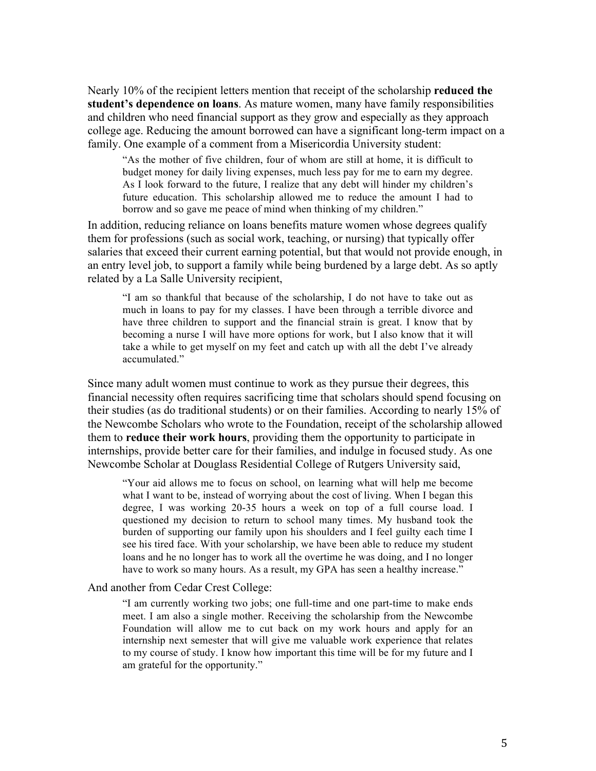Nearly 10% of the recipient letters mention that receipt of the scholarship **reduced the student's dependence on loans**. As mature women, many have family responsibilities and children who need financial support as they grow and especially as they approach college age. Reducing the amount borrowed can have a significant long-term impact on a family. One example of a comment from a Misericordia University student:

"As the mother of five children, four of whom are still at home, it is difficult to budget money for daily living expenses, much less pay for me to earn my degree. As I look forward to the future, I realize that any debt will hinder my children's future education. This scholarship allowed me to reduce the amount I had to borrow and so gave me peace of mind when thinking of my children."

In addition, reducing reliance on loans benefits mature women whose degrees qualify them for professions (such as social work, teaching, or nursing) that typically offer salaries that exceed their current earning potential, but that would not provide enough, in an entry level job, to support a family while being burdened by a large debt. As so aptly related by a La Salle University recipient,

"I am so thankful that because of the scholarship, I do not have to take out as much in loans to pay for my classes. I have been through a terrible divorce and have three children to support and the financial strain is great. I know that by becoming a nurse I will have more options for work, but I also know that it will take a while to get myself on my feet and catch up with all the debt I've already accumulated."

Since many adult women must continue to work as they pursue their degrees, this financial necessity often requires sacrificing time that scholars should spend focusing on their studies (as do traditional students) or on their families. According to nearly 15% of the Newcombe Scholars who wrote to the Foundation, receipt of the scholarship allowed them to **reduce their work hours**, providing them the opportunity to participate in internships, provide better care for their families, and indulge in focused study. As one Newcombe Scholar at Douglass Residential College of Rutgers University said,

"Your aid allows me to focus on school, on learning what will help me become what I want to be, instead of worrying about the cost of living. When I began this degree, I was working 20-35 hours a week on top of a full course load. I questioned my decision to return to school many times. My husband took the burden of supporting our family upon his shoulders and I feel guilty each time I see his tired face. With your scholarship, we have been able to reduce my student loans and he no longer has to work all the overtime he was doing, and I no longer have to work so many hours. As a result, my GPA has seen a healthy increase."

#### And another from Cedar Crest College:

"I am currently working two jobs; one full-time and one part-time to make ends meet. I am also a single mother. Receiving the scholarship from the Newcombe Foundation will allow me to cut back on my work hours and apply for an internship next semester that will give me valuable work experience that relates to my course of study. I know how important this time will be for my future and I am grateful for the opportunity."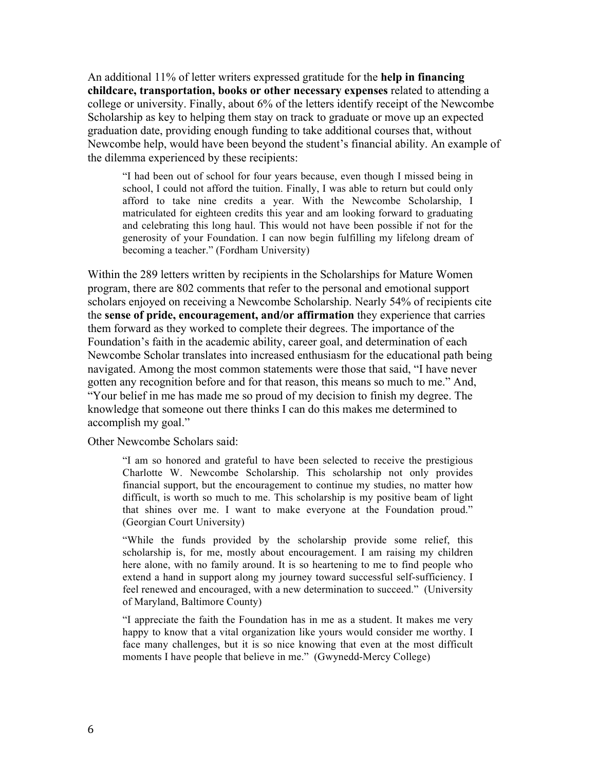An additional 11% of letter writers expressed gratitude for the **help in financing childcare, transportation, books or other necessary expenses** related to attending a college or university. Finally, about 6% of the letters identify receipt of the Newcombe Scholarship as key to helping them stay on track to graduate or move up an expected graduation date, providing enough funding to take additional courses that, without Newcombe help, would have been beyond the student's financial ability. An example of the dilemma experienced by these recipients:

"I had been out of school for four years because, even though I missed being in school, I could not afford the tuition. Finally, I was able to return but could only afford to take nine credits a year. With the Newcombe Scholarship, I matriculated for eighteen credits this year and am looking forward to graduating and celebrating this long haul. This would not have been possible if not for the generosity of your Foundation. I can now begin fulfilling my lifelong dream of becoming a teacher." (Fordham University)

Within the 289 letters written by recipients in the Scholarships for Mature Women program, there are 802 comments that refer to the personal and emotional support scholars enjoyed on receiving a Newcombe Scholarship. Nearly 54% of recipients cite the **sense of pride, encouragement, and/or affirmation** they experience that carries them forward as they worked to complete their degrees. The importance of the Foundation's faith in the academic ability, career goal, and determination of each Newcombe Scholar translates into increased enthusiasm for the educational path being navigated. Among the most common statements were those that said, "I have never gotten any recognition before and for that reason, this means so much to me." And, "Your belief in me has made me so proud of my decision to finish my degree. The knowledge that someone out there thinks I can do this makes me determined to accomplish my goal."

Other Newcombe Scholars said:

"I am so honored and grateful to have been selected to receive the prestigious Charlotte W. Newcombe Scholarship. This scholarship not only provides financial support, but the encouragement to continue my studies, no matter how difficult, is worth so much to me. This scholarship is my positive beam of light that shines over me. I want to make everyone at the Foundation proud." (Georgian Court University)

"While the funds provided by the scholarship provide some relief, this scholarship is, for me, mostly about encouragement. I am raising my children here alone, with no family around. It is so heartening to me to find people who extend a hand in support along my journey toward successful self-sufficiency. I feel renewed and encouraged, with a new determination to succeed." (University of Maryland, Baltimore County)

"I appreciate the faith the Foundation has in me as a student. It makes me very happy to know that a vital organization like yours would consider me worthy. I face many challenges, but it is so nice knowing that even at the most difficult moments I have people that believe in me." (Gwynedd-Mercy College)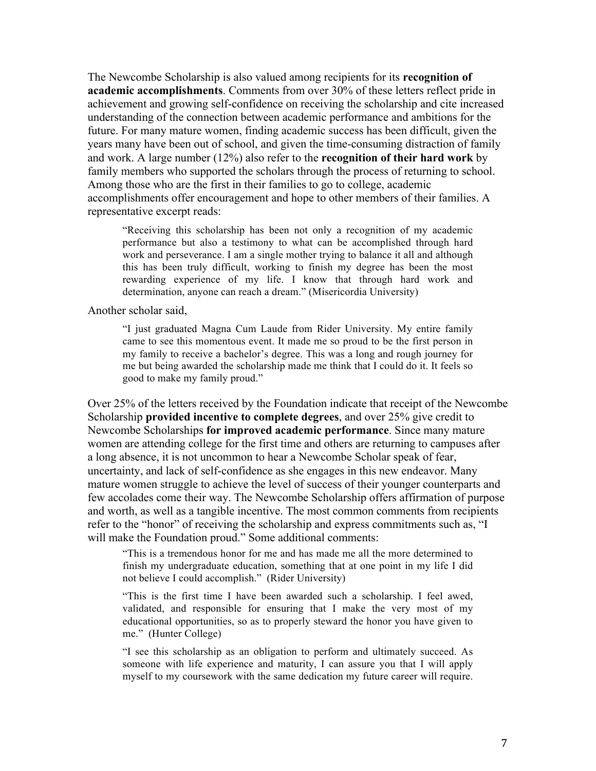The Newcombe Scholarship is also valued among recipients for its **recognition of academic accomplishments**. Comments from over 30% of these letters reflect pride in achievement and growing self-confidence on receiving the scholarship and cite increased understanding of the connection between academic performance and ambitions for the future. For many mature women, finding academic success has been difficult, given the years many have been out of school, and given the time-consuming distraction of family and work. A large number (12%) also refer to the **recognition of their hard work** by family members who supported the scholars through the process of returning to school. Among those who are the first in their families to go to college, academic accomplishments offer encouragement and hope to other members of their families. A representative excerpt reads:

"Receiving this scholarship has been not only a recognition of my academic performance but also a testimony to what can be accomplished through hard work and perseverance. I am a single mother trying to balance it all and although this has been truly difficult, working to finish my degree has been the most rewarding experience of my life. I know that through hard work and determination, anyone can reach a dream." (Misericordia University)

Another scholar said,

"I just graduated Magna Cum Laude from Rider University. My entire family came to see this momentous event. It made me so proud to be the first person in my family to receive a bachelor's degree. This was a long and rough journey for me but being awarded the scholarship made me think that I could do it. It feels so good to make my family proud."

Over 25% of the letters received by the Foundation indicate that receipt of the Newcombe Scholarship **provided incentive to complete degrees**, and over 25% give credit to Newcombe Scholarships **for improved academic performance**. Since many mature women are attending college for the first time and others are returning to campuses after a long absence, it is not uncommon to hear a Newcombe Scholar speak of fear, uncertainty, and lack of self-confidence as she engages in this new endeavor. Many mature women struggle to achieve the level of success of their younger counterparts and few accolades come their way. The Newcombe Scholarship offers affirmation of purpose and worth, as well as a tangible incentive. The most common comments from recipients refer to the "honor" of receiving the scholarship and express commitments such as, "I will make the Foundation proud." Some additional comments:

"This is a tremendous honor for me and has made me all the more determined to finish my undergraduate education, something that at one point in my life I did not believe I could accomplish." (Rider University)

"This is the first time I have been awarded such a scholarship. I feel awed, validated, and responsible for ensuring that I make the very most of my educational opportunities, so as to properly steward the honor you have given to me." (Hunter College)

"I see this scholarship as an obligation to perform and ultimately succeed. As someone with life experience and maturity, I can assure you that I will apply myself to my coursework with the same dedication my future career will require.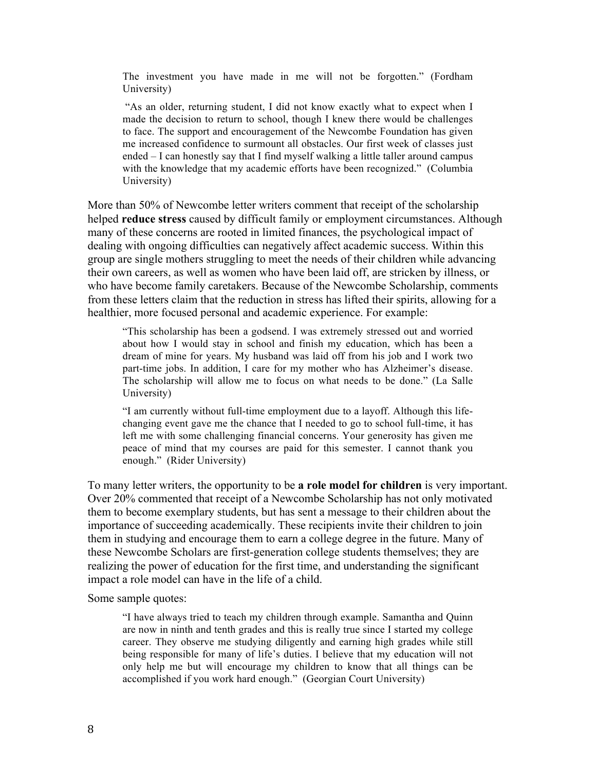The investment you have made in me will not be forgotten." (Fordham University)

"As an older, returning student, I did not know exactly what to expect when I made the decision to return to school, though I knew there would be challenges to face. The support and encouragement of the Newcombe Foundation has given me increased confidence to surmount all obstacles. Our first week of classes just ended – I can honestly say that I find myself walking a little taller around campus with the knowledge that my academic efforts have been recognized." (Columbia University)

More than 50% of Newcombe letter writers comment that receipt of the scholarship helped **reduce stress** caused by difficult family or employment circumstances. Although many of these concerns are rooted in limited finances, the psychological impact of dealing with ongoing difficulties can negatively affect academic success. Within this group are single mothers struggling to meet the needs of their children while advancing their own careers, as well as women who have been laid off, are stricken by illness, or who have become family caretakers. Because of the Newcombe Scholarship, comments from these letters claim that the reduction in stress has lifted their spirits, allowing for a healthier, more focused personal and academic experience. For example:

"This scholarship has been a godsend. I was extremely stressed out and worried about how I would stay in school and finish my education, which has been a dream of mine for years. My husband was laid off from his job and I work two part-time jobs. In addition, I care for my mother who has Alzheimer's disease. The scholarship will allow me to focus on what needs to be done." (La Salle University)

"I am currently without full-time employment due to a layoff. Although this lifechanging event gave me the chance that I needed to go to school full-time, it has left me with some challenging financial concerns. Your generosity has given me peace of mind that my courses are paid for this semester. I cannot thank you enough." (Rider University)

To many letter writers, the opportunity to be **a role model for children** is very important. Over 20% commented that receipt of a Newcombe Scholarship has not only motivated them to become exemplary students, but has sent a message to their children about the importance of succeeding academically. These recipients invite their children to join them in studying and encourage them to earn a college degree in the future. Many of these Newcombe Scholars are first-generation college students themselves; they are realizing the power of education for the first time, and understanding the significant impact a role model can have in the life of a child.

Some sample quotes:

"I have always tried to teach my children through example. Samantha and Quinn are now in ninth and tenth grades and this is really true since I started my college career. They observe me studying diligently and earning high grades while still being responsible for many of life's duties. I believe that my education will not only help me but will encourage my children to know that all things can be accomplished if you work hard enough." (Georgian Court University)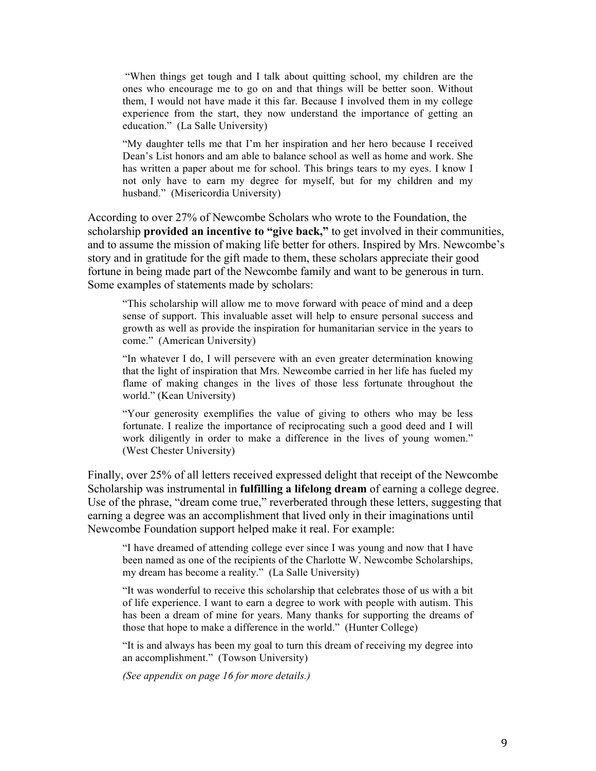"When things get tough and I talk about quitting school, my children are the ones who encourage me to go on and that things will be better soon. Without them, I would not have made it this far. Because I involved them in my college experience from the start, they now understand the importance of getting an education." (La Salle University)

"My daughter tells me that I'm her inspiration and her hero because I received Dean's List honors and am able to balance school as well as home and work. She has written a paper about me for school. This brings tears to my eyes. I know I not only have to earn my degree for myself, but for my children and my husband." (Misericordia University)

According to over 27% of Newcombe Scholars who wrote to the Foundation, the scholarship **provided an incentive to "give back,"** to get involved in their communities, and to assume the mission of making life better for others. Inspired by Mrs. Newcombe's story and in gratitude for the gift made to them, these scholars appreciate their good fortune in being made part of the Newcombe family and want to be generous in turn. Some examples of statements made by scholars:

"This scholarship will allow me to move forward with peace of mind and a deep sense of support. This invaluable asset will help to ensure personal success and growth as well as provide the inspiration for humanitarian service in the years to come." (American University)

"In whatever I do, I will persevere with an even greater determination knowing that the light of inspiration that Mrs. Newcombe carried in her life has fueled my flame of making changes in the lives of those less fortunate throughout the world." (Kean University)

"Your generosity exemplifies the value of giving to others who may be less fortunate. I realize the importance of reciprocating such a good deed and I will work diligently in order to make a difference in the lives of young women." (West Chester University)

Finally, over 25% of all letters received expressed delight that receipt of the Newcombe Scholarship was instrumental in **fulfilling a lifelong dream** of earning a college degree. Use of the phrase, "dream come true," reverberated through these letters, suggesting that earning a degree was an accomplishment that lived only in their imaginations until Newcombe Foundation support helped make it real. For example:

"I have dreamed of attending college ever since I was young and now that I have been named as one of the recipients of the Charlotte W. Newcombe Scholarships, my dream has become a reality." (La Salle University)

"It was wonderful to receive this scholarship that celebrates those of us with a bit of life experience. I want to earn a degree to work with people with autism. This has been a dream of mine for years. Many thanks for supporting the dreams of those that hope to make a difference in the world." (Hunter College)

"It is and always has been my goal to turn this dream of receiving my degree into an accomplishment." (Towson University)

*(See appendix on page 16 for more details.)*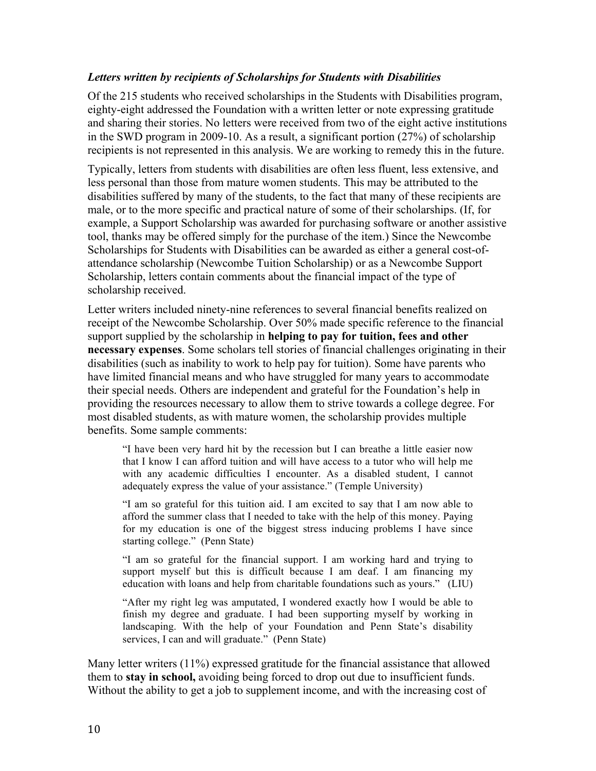### *Letters written by recipients of Scholarships for Students with Disabilities*

Of the 215 students who received scholarships in the Students with Disabilities program, eighty-eight addressed the Foundation with a written letter or note expressing gratitude and sharing their stories. No letters were received from two of the eight active institutions in the SWD program in 2009-10. As a result, a significant portion (27%) of scholarship recipients is not represented in this analysis. We are working to remedy this in the future.

Typically, letters from students with disabilities are often less fluent, less extensive, and less personal than those from mature women students. This may be attributed to the disabilities suffered by many of the students, to the fact that many of these recipients are male, or to the more specific and practical nature of some of their scholarships. (If, for example, a Support Scholarship was awarded for purchasing software or another assistive tool, thanks may be offered simply for the purchase of the item.) Since the Newcombe Scholarships for Students with Disabilities can be awarded as either a general cost-ofattendance scholarship (Newcombe Tuition Scholarship) or as a Newcombe Support Scholarship, letters contain comments about the financial impact of the type of scholarship received.

Letter writers included ninety-nine references to several financial benefits realized on receipt of the Newcombe Scholarship. Over 50% made specific reference to the financial support supplied by the scholarship in **helping to pay for tuition, fees and other necessary expenses**. Some scholars tell stories of financial challenges originating in their disabilities (such as inability to work to help pay for tuition). Some have parents who have limited financial means and who have struggled for many years to accommodate their special needs. Others are independent and grateful for the Foundation's help in providing the resources necessary to allow them to strive towards a college degree. For most disabled students, as with mature women, the scholarship provides multiple benefits. Some sample comments:

"I have been very hard hit by the recession but I can breathe a little easier now that I know I can afford tuition and will have access to a tutor who will help me with any academic difficulties I encounter. As a disabled student, I cannot adequately express the value of your assistance." (Temple University)

"I am so grateful for this tuition aid. I am excited to say that I am now able to afford the summer class that I needed to take with the help of this money. Paying for my education is one of the biggest stress inducing problems I have since starting college." (Penn State)

"I am so grateful for the financial support. I am working hard and trying to support myself but this is difficult because I am deaf. I am financing my education with loans and help from charitable foundations such as yours." (LIU)

"After my right leg was amputated, I wondered exactly how I would be able to finish my degree and graduate. I had been supporting myself by working in landscaping. With the help of your Foundation and Penn State's disability services, I can and will graduate." (Penn State)

Many letter writers (11%) expressed gratitude for the financial assistance that allowed them to **stay in school,** avoiding being forced to drop out due to insufficient funds. Without the ability to get a job to supplement income, and with the increasing cost of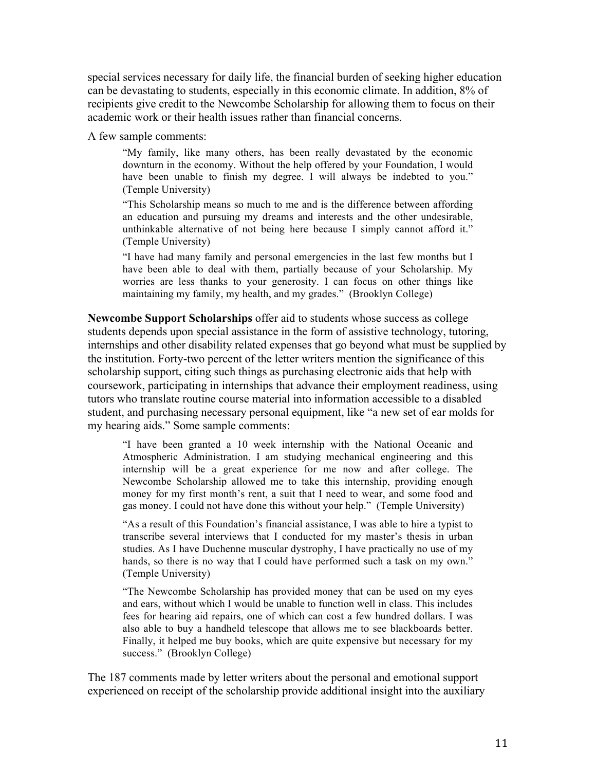special services necessary for daily life, the financial burden of seeking higher education can be devastating to students, especially in this economic climate. In addition, 8% of recipients give credit to the Newcombe Scholarship for allowing them to focus on their academic work or their health issues rather than financial concerns.

A few sample comments:

"My family, like many others, has been really devastated by the economic downturn in the economy. Without the help offered by your Foundation, I would have been unable to finish my degree. I will always be indebted to you." (Temple University)

"This Scholarship means so much to me and is the difference between affording an education and pursuing my dreams and interests and the other undesirable, unthinkable alternative of not being here because I simply cannot afford it." (Temple University)

"I have had many family and personal emergencies in the last few months but I have been able to deal with them, partially because of your Scholarship. My worries are less thanks to your generosity. I can focus on other things like maintaining my family, my health, and my grades." (Brooklyn College)

**Newcombe Support Scholarships** offer aid to students whose success as college students depends upon special assistance in the form of assistive technology, tutoring, internships and other disability related expenses that go beyond what must be supplied by the institution. Forty-two percent of the letter writers mention the significance of this scholarship support, citing such things as purchasing electronic aids that help with coursework, participating in internships that advance their employment readiness, using tutors who translate routine course material into information accessible to a disabled student, and purchasing necessary personal equipment, like "a new set of ear molds for my hearing aids." Some sample comments:

"I have been granted a 10 week internship with the National Oceanic and Atmospheric Administration. I am studying mechanical engineering and this internship will be a great experience for me now and after college. The Newcombe Scholarship allowed me to take this internship, providing enough money for my first month's rent, a suit that I need to wear, and some food and gas money. I could not have done this without your help." (Temple University)

"As a result of this Foundation's financial assistance, I was able to hire a typist to transcribe several interviews that I conducted for my master's thesis in urban studies. As I have Duchenne muscular dystrophy, I have practically no use of my hands, so there is no way that I could have performed such a task on my own." (Temple University)

"The Newcombe Scholarship has provided money that can be used on my eyes and ears, without which I would be unable to function well in class. This includes fees for hearing aid repairs, one of which can cost a few hundred dollars. I was also able to buy a handheld telescope that allows me to see blackboards better. Finally, it helped me buy books, which are quite expensive but necessary for my success." (Brooklyn College)

The 187 comments made by letter writers about the personal and emotional support experienced on receipt of the scholarship provide additional insight into the auxiliary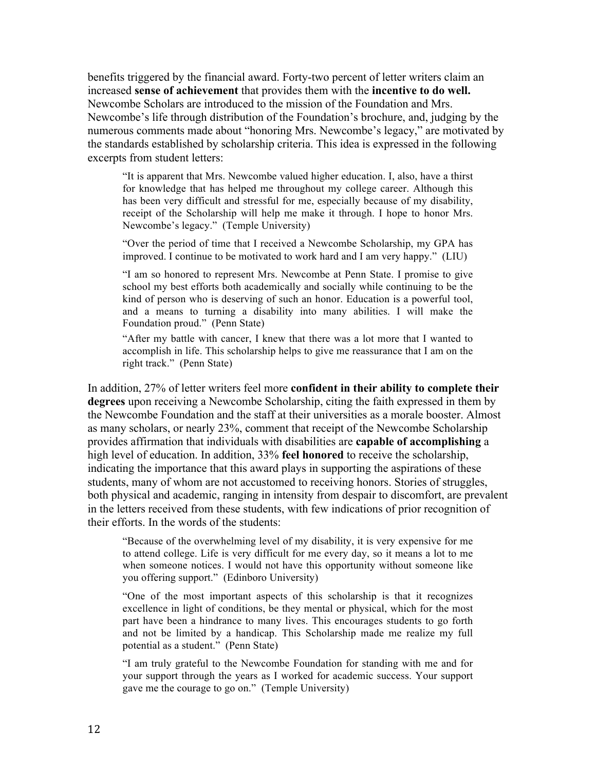benefits triggered by the financial award. Forty-two percent of letter writers claim an increased **sense of achievement** that provides them with the **incentive to do well.** Newcombe Scholars are introduced to the mission of the Foundation and Mrs. Newcombe's life through distribution of the Foundation's brochure, and, judging by the numerous comments made about "honoring Mrs. Newcombe's legacy," are motivated by the standards established by scholarship criteria. This idea is expressed in the following excerpts from student letters:

"It is apparent that Mrs. Newcombe valued higher education. I, also, have a thirst for knowledge that has helped me throughout my college career. Although this has been very difficult and stressful for me, especially because of my disability, receipt of the Scholarship will help me make it through. I hope to honor Mrs. Newcombe's legacy." (Temple University)

"Over the period of time that I received a Newcombe Scholarship, my GPA has improved. I continue to be motivated to work hard and I am very happy." (LIU)

"I am so honored to represent Mrs. Newcombe at Penn State. I promise to give school my best efforts both academically and socially while continuing to be the kind of person who is deserving of such an honor. Education is a powerful tool, and a means to turning a disability into many abilities. I will make the Foundation proud." (Penn State)

"After my battle with cancer, I knew that there was a lot more that I wanted to accomplish in life. This scholarship helps to give me reassurance that I am on the right track." (Penn State)

In addition, 27% of letter writers feel more **confident in their ability to complete their degrees** upon receiving a Newcombe Scholarship, citing the faith expressed in them by the Newcombe Foundation and the staff at their universities as a morale booster. Almost as many scholars, or nearly 23%, comment that receipt of the Newcombe Scholarship provides affirmation that individuals with disabilities are **capable of accomplishing** a high level of education. In addition, 33% **feel honored** to receive the scholarship, indicating the importance that this award plays in supporting the aspirations of these students, many of whom are not accustomed to receiving honors. Stories of struggles, both physical and academic, ranging in intensity from despair to discomfort, are prevalent in the letters received from these students, with few indications of prior recognition of their efforts. In the words of the students:

"Because of the overwhelming level of my disability, it is very expensive for me to attend college. Life is very difficult for me every day, so it means a lot to me when someone notices. I would not have this opportunity without someone like you offering support." (Edinboro University)

"One of the most important aspects of this scholarship is that it recognizes excellence in light of conditions, be they mental or physical, which for the most part have been a hindrance to many lives. This encourages students to go forth and not be limited by a handicap. This Scholarship made me realize my full potential as a student." (Penn State)

"I am truly grateful to the Newcombe Foundation for standing with me and for your support through the years as I worked for academic success. Your support gave me the courage to go on." (Temple University)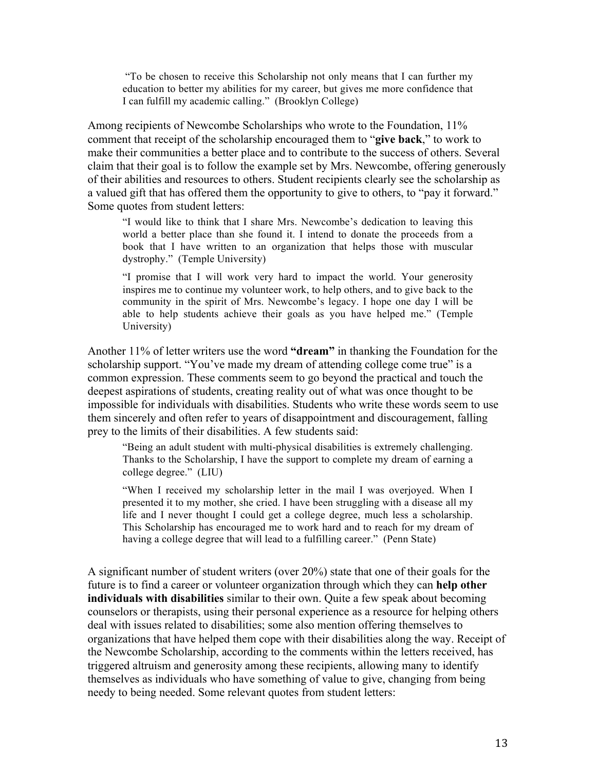"To be chosen to receive this Scholarship not only means that I can further my education to better my abilities for my career, but gives me more confidence that I can fulfill my academic calling." (Brooklyn College)

Among recipients of Newcombe Scholarships who wrote to the Foundation, 11% comment that receipt of the scholarship encouraged them to "**give back**," to work to make their communities a better place and to contribute to the success of others. Several claim that their goal is to follow the example set by Mrs. Newcombe, offering generously of their abilities and resources to others. Student recipients clearly see the scholarship as a valued gift that has offered them the opportunity to give to others, to "pay it forward." Some quotes from student letters:

"I would like to think that I share Mrs. Newcombe's dedication to leaving this world a better place than she found it. I intend to donate the proceeds from a book that I have written to an organization that helps those with muscular dystrophy." (Temple University)

"I promise that I will work very hard to impact the world. Your generosity inspires me to continue my volunteer work, to help others, and to give back to the community in the spirit of Mrs. Newcombe's legacy. I hope one day I will be able to help students achieve their goals as you have helped me." (Temple University)

Another 11% of letter writers use the word **"dream"** in thanking the Foundation for the scholarship support. "You've made my dream of attending college come true" is a common expression. These comments seem to go beyond the practical and touch the deepest aspirations of students, creating reality out of what was once thought to be impossible for individuals with disabilities. Students who write these words seem to use them sincerely and often refer to years of disappointment and discouragement, falling prey to the limits of their disabilities. A few students said:

"Being an adult student with multi-physical disabilities is extremely challenging. Thanks to the Scholarship, I have the support to complete my dream of earning a college degree." (LIU)

"When I received my scholarship letter in the mail I was overjoyed. When I presented it to my mother, she cried. I have been struggling with a disease all my life and I never thought I could get a college degree, much less a scholarship. This Scholarship has encouraged me to work hard and to reach for my dream of having a college degree that will lead to a fulfilling career." (Penn State)

A significant number of student writers (over 20%) state that one of their goals for the future is to find a career or volunteer organization through which they can **help other individuals with disabilities** similar to their own. Quite a few speak about becoming counselors or therapists, using their personal experience as a resource for helping others deal with issues related to disabilities; some also mention offering themselves to organizations that have helped them cope with their disabilities along the way. Receipt of the Newcombe Scholarship, according to the comments within the letters received, has triggered altruism and generosity among these recipients, allowing many to identify themselves as individuals who have something of value to give, changing from being needy to being needed. Some relevant quotes from student letters: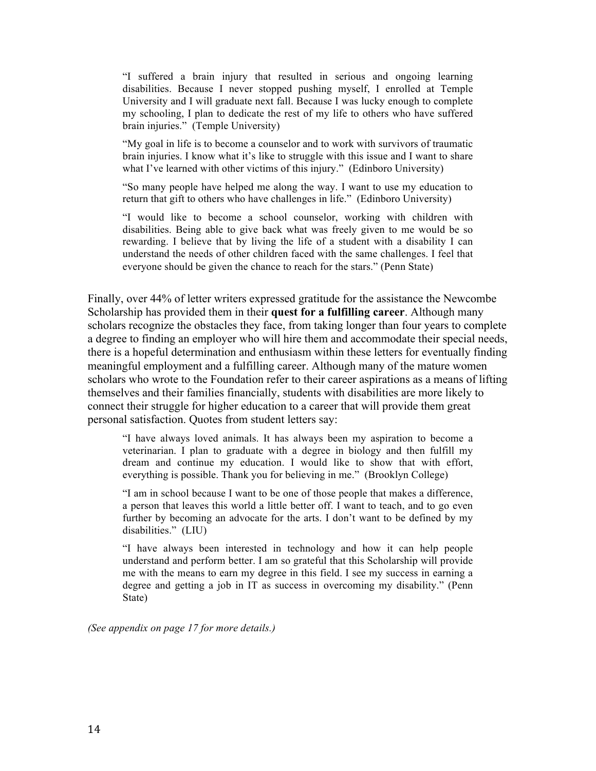"I suffered a brain injury that resulted in serious and ongoing learning disabilities. Because I never stopped pushing myself, I enrolled at Temple University and I will graduate next fall. Because I was lucky enough to complete my schooling, I plan to dedicate the rest of my life to others who have suffered brain injuries." (Temple University)

"My goal in life is to become a counselor and to work with survivors of traumatic brain injuries. I know what it's like to struggle with this issue and I want to share what I've learned with other victims of this injury." (Edinboro University)

"So many people have helped me along the way. I want to use my education to return that gift to others who have challenges in life." (Edinboro University)

"I would like to become a school counselor, working with children with disabilities. Being able to give back what was freely given to me would be so rewarding. I believe that by living the life of a student with a disability I can understand the needs of other children faced with the same challenges. I feel that everyone should be given the chance to reach for the stars." (Penn State)

Finally, over 44% of letter writers expressed gratitude for the assistance the Newcombe Scholarship has provided them in their **quest for a fulfilling career**. Although many scholars recognize the obstacles they face, from taking longer than four years to complete a degree to finding an employer who will hire them and accommodate their special needs, there is a hopeful determination and enthusiasm within these letters for eventually finding meaningful employment and a fulfilling career. Although many of the mature women scholars who wrote to the Foundation refer to their career aspirations as a means of lifting themselves and their families financially, students with disabilities are more likely to connect their struggle for higher education to a career that will provide them great personal satisfaction. Quotes from student letters say:

"I have always loved animals. It has always been my aspiration to become a veterinarian. I plan to graduate with a degree in biology and then fulfill my dream and continue my education. I would like to show that with effort, everything is possible. Thank you for believing in me." (Brooklyn College)

"I am in school because I want to be one of those people that makes a difference, a person that leaves this world a little better off. I want to teach, and to go even further by becoming an advocate for the arts. I don't want to be defined by my disabilities." (LIU)

"I have always been interested in technology and how it can help people understand and perform better. I am so grateful that this Scholarship will provide me with the means to earn my degree in this field. I see my success in earning a degree and getting a job in IT as success in overcoming my disability." (Penn State)

*(See appendix on page 17 for more details.)*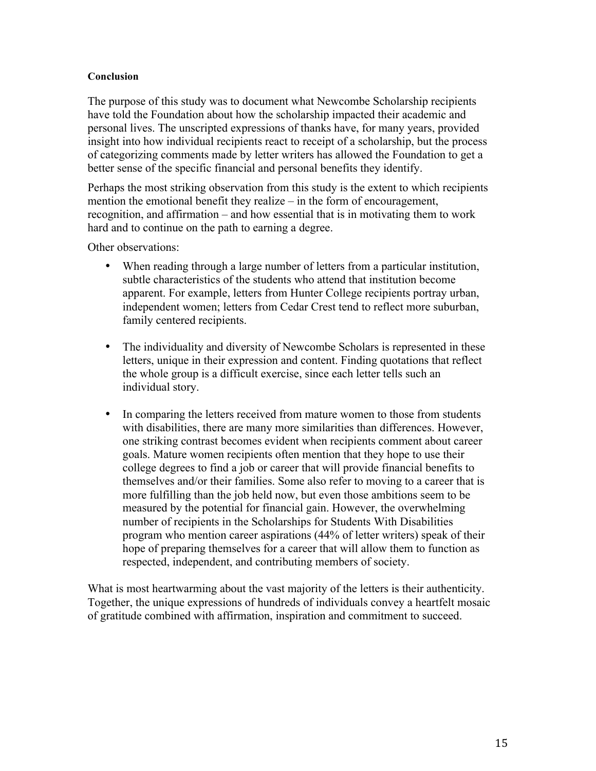#### **Conclusion**

The purpose of this study was to document what Newcombe Scholarship recipients have told the Foundation about how the scholarship impacted their academic and personal lives. The unscripted expressions of thanks have, for many years, provided insight into how individual recipients react to receipt of a scholarship, but the process of categorizing comments made by letter writers has allowed the Foundation to get a better sense of the specific financial and personal benefits they identify.

Perhaps the most striking observation from this study is the extent to which recipients mention the emotional benefit they realize – in the form of encouragement, recognition, and affirmation – and how essential that is in motivating them to work hard and to continue on the path to earning a degree.

Other observations:

- When reading through a large number of letters from a particular institution, subtle characteristics of the students who attend that institution become apparent. For example, letters from Hunter College recipients portray urban, independent women; letters from Cedar Crest tend to reflect more suburban, family centered recipients.
- The individuality and diversity of Newcombe Scholars is represented in these letters, unique in their expression and content. Finding quotations that reflect the whole group is a difficult exercise, since each letter tells such an individual story.
- In comparing the letters received from mature women to those from students with disabilities, there are many more similarities than differences. However, one striking contrast becomes evident when recipients comment about career goals. Mature women recipients often mention that they hope to use their college degrees to find a job or career that will provide financial benefits to themselves and/or their families. Some also refer to moving to a career that is more fulfilling than the job held now, but even those ambitions seem to be measured by the potential for financial gain. However, the overwhelming number of recipients in the Scholarships for Students With Disabilities program who mention career aspirations (44% of letter writers) speak of their hope of preparing themselves for a career that will allow them to function as respected, independent, and contributing members of society.

What is most heartwarming about the vast majority of the letters is their authenticity. Together, the unique expressions of hundreds of individuals convey a heartfelt mosaic of gratitude combined with affirmation, inspiration and commitment to succeed.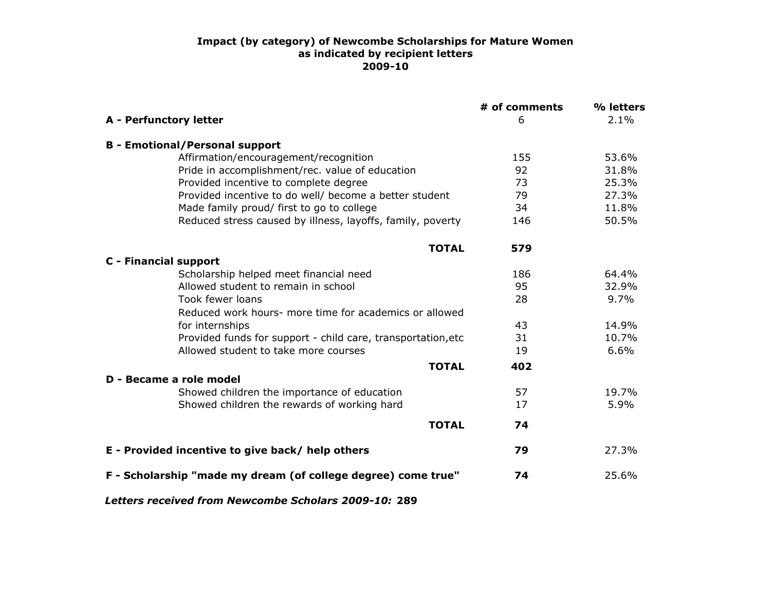#### **Impact (by category) of Newcombe Scholarships for Mature Women as indicated by recipient letters 2009-10**

|                                                               | # of comments | % letters |
|---------------------------------------------------------------|---------------|-----------|
| <b>A</b> - Perfunctory letter                                 | 6             | 2.1%      |
| <b>B</b> - Emotional/Personal support                         |               |           |
| Affirmation/encouragement/recognition                         | 155           | 53.6%     |
| Pride in accomplishment/rec. value of education               | 92            | 31.8%     |
| Provided incentive to complete degree                         | 73            | 25.3%     |
| Provided incentive to do well/ become a better student        | 79            | 27.3%     |
| Made family proud/ first to go to college                     | 34            | 11.8%     |
| Reduced stress caused by illness, layoffs, family, poverty    | 146           | 50.5%     |
| <b>TOTAL</b>                                                  | 579           |           |
| <b>C</b> - Financial support                                  |               |           |
| Scholarship helped meet financial need                        | 186           | 64.4%     |
| Allowed student to remain in school                           | 95            | 32.9%     |
| Took fewer loans                                              | 28            | 9.7%      |
| Reduced work hours- more time for academics or allowed        |               |           |
| for internships                                               | 43            | 14.9%     |
| Provided funds for support - child care, transportation, etc  | 31            | 10.7%     |
| Allowed student to take more courses                          | 19            | 6.6%      |
| <b>TOTAL</b>                                                  | 402           |           |
| D - Became a role model                                       |               |           |
| Showed children the importance of education                   | 57            | 19.7%     |
| Showed children the rewards of working hard                   | 17            | 5.9%      |
| <b>TOTAL</b>                                                  | 74            |           |
| E - Provided incentive to give back/ help others              | 79            | 27.3%     |
| F - Scholarship "made my dream (of college degree) come true" | 74            | 25.6%     |

*Letters received from Newcombe Scholars 2009-10:* **289**